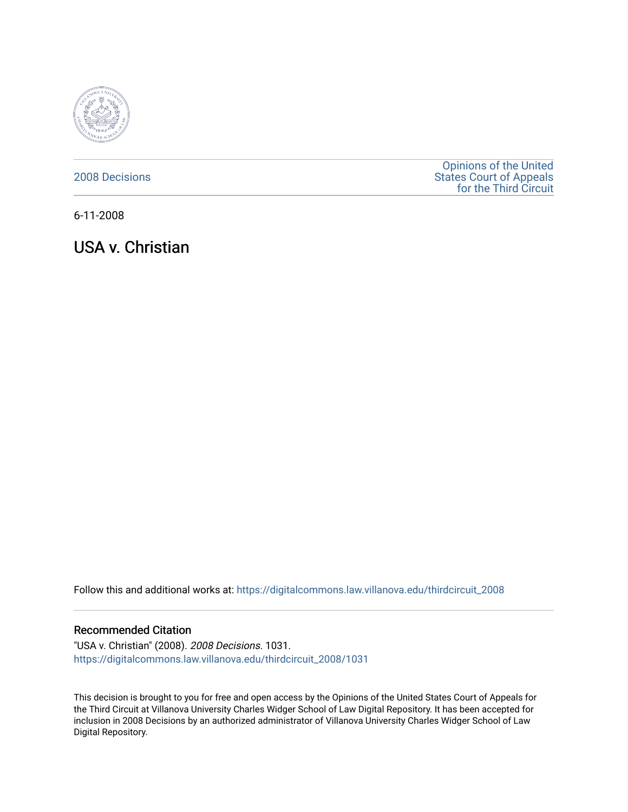

[2008 Decisions](https://digitalcommons.law.villanova.edu/thirdcircuit_2008)

[Opinions of the United](https://digitalcommons.law.villanova.edu/thirdcircuit)  [States Court of Appeals](https://digitalcommons.law.villanova.edu/thirdcircuit)  [for the Third Circuit](https://digitalcommons.law.villanova.edu/thirdcircuit) 

6-11-2008

USA v. Christian

Follow this and additional works at: [https://digitalcommons.law.villanova.edu/thirdcircuit\\_2008](https://digitalcommons.law.villanova.edu/thirdcircuit_2008?utm_source=digitalcommons.law.villanova.edu%2Fthirdcircuit_2008%2F1031&utm_medium=PDF&utm_campaign=PDFCoverPages) 

#### Recommended Citation

"USA v. Christian" (2008). 2008 Decisions. 1031. [https://digitalcommons.law.villanova.edu/thirdcircuit\\_2008/1031](https://digitalcommons.law.villanova.edu/thirdcircuit_2008/1031?utm_source=digitalcommons.law.villanova.edu%2Fthirdcircuit_2008%2F1031&utm_medium=PDF&utm_campaign=PDFCoverPages) 

This decision is brought to you for free and open access by the Opinions of the United States Court of Appeals for the Third Circuit at Villanova University Charles Widger School of Law Digital Repository. It has been accepted for inclusion in 2008 Decisions by an authorized administrator of Villanova University Charles Widger School of Law Digital Repository.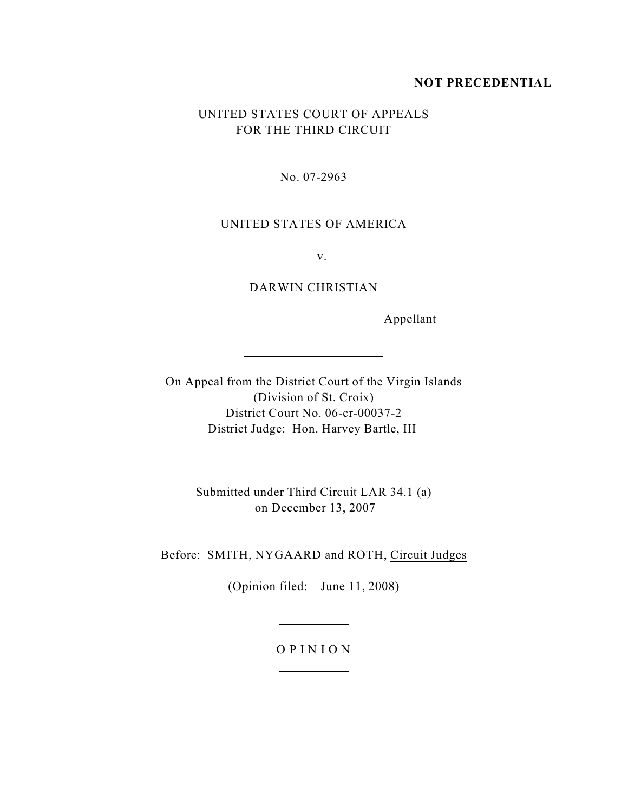### **NOT PRECEDENTIAL**

## UNITED STATES COURT OF APPEALS FOR THE THIRD CIRCUIT

 $\overline{a}$ 

 $\overline{a}$ 

 $\overline{a}$ 

 $\overline{a}$ 

No. 07-2963

### UNITED STATES OF AMERICA

v.

DARWIN CHRISTIAN

Appellant

On Appeal from the District Court of the Virgin Islands (Division of St. Croix) District Court No. 06-cr-00037-2 District Judge: Hon. Harvey Bartle, III

> Submitted under Third Circuit LAR 34.1 (a) on December 13, 2007

Before: SMITH, NYGAARD and ROTH, Circuit Judges

(Opinion filed: June 11, 2008)

# O P I N I O N

 $\overline{a}$ 

 $\overline{a}$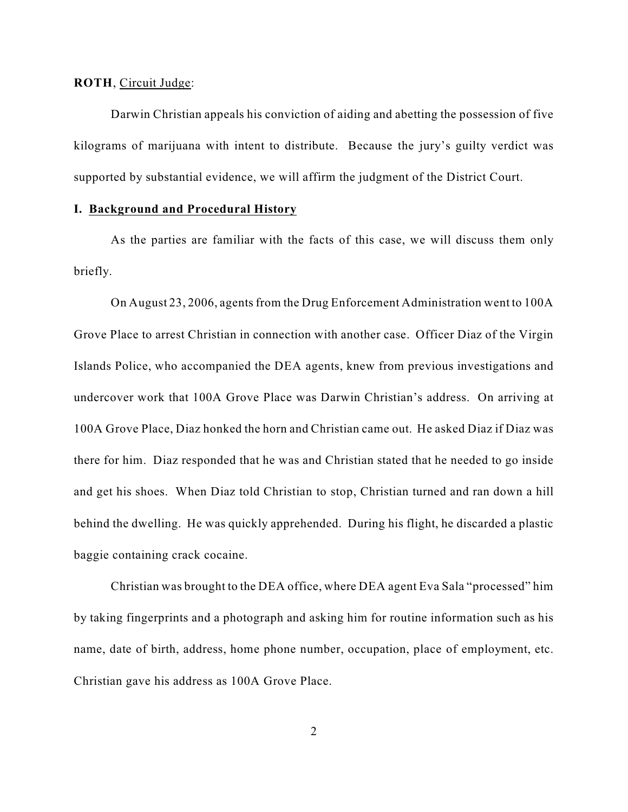**ROTH**, Circuit Judge:

Darwin Christian appeals his conviction of aiding and abetting the possession of five kilograms of marijuana with intent to distribute. Because the jury's guilty verdict was supported by substantial evidence, we will affirm the judgment of the District Court.

### **I. Background and Procedural History**

As the parties are familiar with the facts of this case, we will discuss them only briefly.

On August 23, 2006, agents from the Drug Enforcement Administration went to 100A Grove Place to arrest Christian in connection with another case. Officer Diaz of the Virgin Islands Police, who accompanied the DEA agents, knew from previous investigations and undercover work that 100A Grove Place was Darwin Christian's address. On arriving at 100A Grove Place, Diaz honked the horn and Christian came out. He asked Diaz if Diaz was there for him. Diaz responded that he was and Christian stated that he needed to go inside and get his shoes. When Diaz told Christian to stop, Christian turned and ran down a hill behind the dwelling. He was quickly apprehended. During his flight, he discarded a plastic baggie containing crack cocaine.

Christian was brought to the DEA office, where DEA agent Eva Sala "processed" him by taking fingerprints and a photograph and asking him for routine information such as his name, date of birth, address, home phone number, occupation, place of employment, etc. Christian gave his address as 100A Grove Place.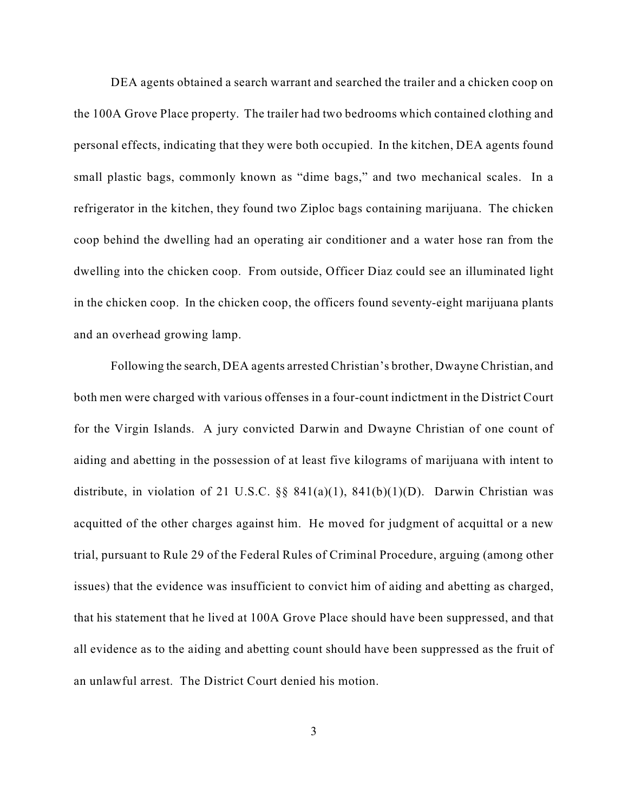DEA agents obtained a search warrant and searched the trailer and a chicken coop on the 100A Grove Place property. The trailer had two bedrooms which contained clothing and personal effects, indicating that they were both occupied. In the kitchen, DEA agents found small plastic bags, commonly known as "dime bags," and two mechanical scales. In a refrigerator in the kitchen, they found two Ziploc bags containing marijuana. The chicken coop behind the dwelling had an operating air conditioner and a water hose ran from the dwelling into the chicken coop. From outside, Officer Diaz could see an illuminated light in the chicken coop. In the chicken coop, the officers found seventy-eight marijuana plants and an overhead growing lamp.

Following the search, DEA agents arrested Christian's brother, Dwayne Christian, and both men were charged with various offenses in a four-count indictment in the District Court for the Virgin Islands. A jury convicted Darwin and Dwayne Christian of one count of aiding and abetting in the possession of at least five kilograms of marijuana with intent to distribute, in violation of 21 U.S.C.  $\S$  841(a)(1), 841(b)(1)(D). Darwin Christian was acquitted of the other charges against him. He moved for judgment of acquittal or a new trial, pursuant to Rule 29 of the Federal Rules of Criminal Procedure, arguing (among other issues) that the evidence was insufficient to convict him of aiding and abetting as charged, that his statement that he lived at 100A Grove Place should have been suppressed, and that all evidence as to the aiding and abetting count should have been suppressed as the fruit of an unlawful arrest. The District Court denied his motion.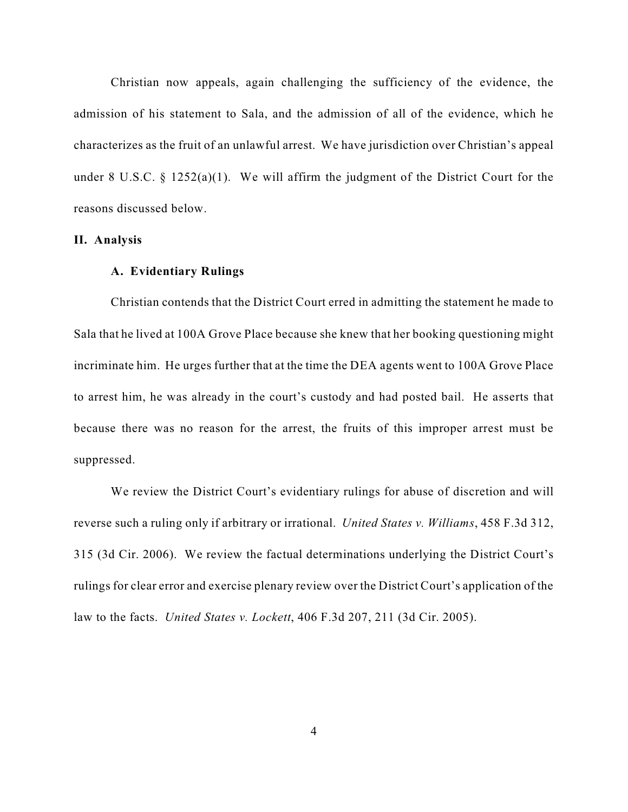Christian now appeals, again challenging the sufficiency of the evidence, the admission of his statement to Sala, and the admission of all of the evidence, which he characterizes as the fruit of an unlawful arrest. We have jurisdiction over Christian's appeal under 8 U.S.C. § 1252(a)(1). We will affirm the judgment of the District Court for the reasons discussed below.

### **II. Analysis**

#### **A. Evidentiary Rulings**

Christian contends that the District Court erred in admitting the statement he made to Sala that he lived at 100A Grove Place because she knew that her booking questioning might incriminate him. He urges further that at the time the DEA agents went to 100A Grove Place to arrest him, he was already in the court's custody and had posted bail. He asserts that because there was no reason for the arrest, the fruits of this improper arrest must be suppressed.

We review the District Court's evidentiary rulings for abuse of discretion and will reverse such a ruling only if arbitrary or irrational. *United States v. Williams*, 458 F.3d 312, 315 (3d Cir. 2006). We review the factual determinations underlying the District Court's rulings for clear error and exercise plenary review over the District Court's application of the law to the facts. *United States v. Lockett*, 406 F.3d 207, 211 (3d Cir. 2005).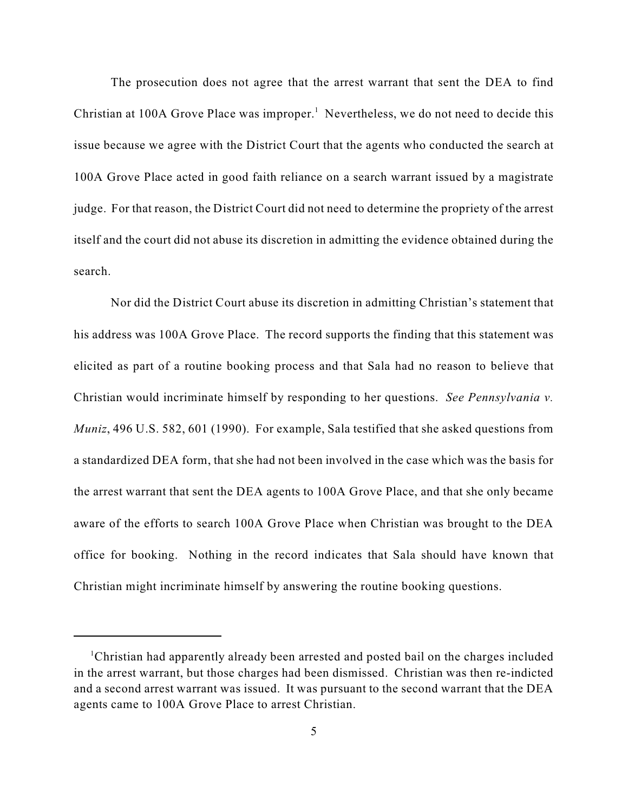The prosecution does not agree that the arrest warrant that sent the DEA to find Christian at 100A Grove Place was improper.<sup>1</sup> Nevertheless, we do not need to decide this issue because we agree with the District Court that the agents who conducted the search at 100A Grove Place acted in good faith reliance on a search warrant issued by a magistrate judge. For that reason, the District Court did not need to determine the propriety of the arrest itself and the court did not abuse its discretion in admitting the evidence obtained during the search.

Nor did the District Court abuse its discretion in admitting Christian's statement that his address was 100A Grove Place. The record supports the finding that this statement was elicited as part of a routine booking process and that Sala had no reason to believe that Christian would incriminate himself by responding to her questions. *See Pennsylvania v. Muniz*, 496 U.S. 582, 601 (1990). For example, Sala testified that she asked questions from a standardized DEA form, that she had not been involved in the case which was the basis for the arrest warrant that sent the DEA agents to 100A Grove Place, and that she only became aware of the efforts to search 100A Grove Place when Christian was brought to the DEA office for booking. Nothing in the record indicates that Sala should have known that Christian might incriminate himself by answering the routine booking questions.

Christian had apparently already been arrested and posted bail on the charges included <sup>1</sup> in the arrest warrant, but those charges had been dismissed. Christian was then re-indicted and a second arrest warrant was issued. It was pursuant to the second warrant that the DEA agents came to 100A Grove Place to arrest Christian.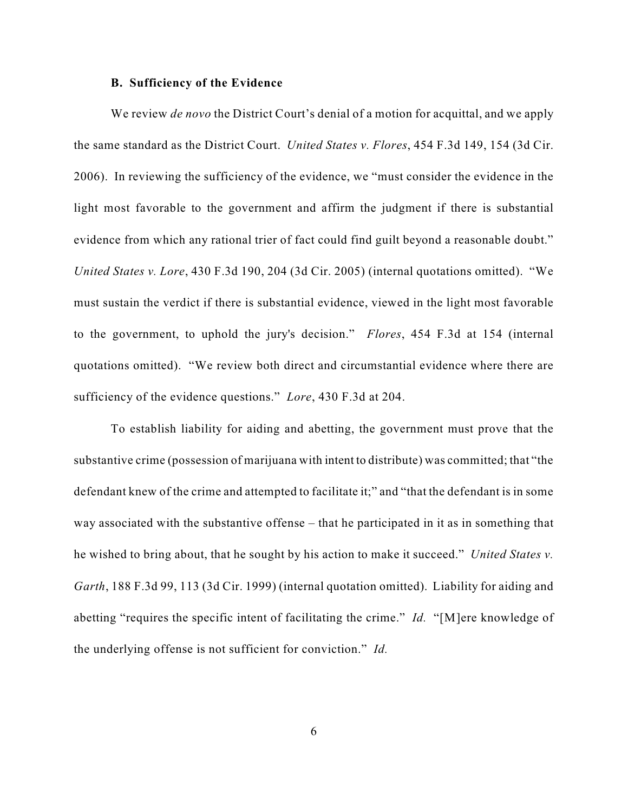#### **B. Sufficiency of the Evidence**

We review *de novo* the District Court's denial of a motion for acquittal, and we apply the same standard as the District Court. *United States v. Flores*, 454 F.3d 149, 154 (3d Cir. 2006). In reviewing the sufficiency of the evidence, we "must consider the evidence in the light most favorable to the government and affirm the judgment if there is substantial evidence from which any rational trier of fact could find guilt beyond a reasonable doubt." *United States v. Lore*, 430 F.3d 190, 204 (3d Cir. 2005) (internal quotations omitted). "We must sustain the verdict if there is substantial evidence, viewed in the light most favorable to the government, to uphold the jury's decision." *Flores*, 454 F.3d at 154 (internal quotations omitted). "We review both direct and circumstantial evidence where there are sufficiency of the evidence questions." *Lore*, 430 F.3d at 204.

To establish liability for aiding and abetting, the government must prove that the substantive crime (possession of marijuana with intent to distribute) was committed; that "the defendant knew of the crime and attempted to facilitate it;" and "that the defendant is in some way associated with the substantive offense – that he participated in it as in something that he wished to bring about, that he sought by his action to make it succeed." *United States v. Garth*, 188 F.3d 99, 113 (3d Cir. 1999) (internal quotation omitted). Liability for aiding and abetting "requires the specific intent of facilitating the crime." *Id.* "[M]ere knowledge of the underlying offense is not sufficient for conviction." *Id.*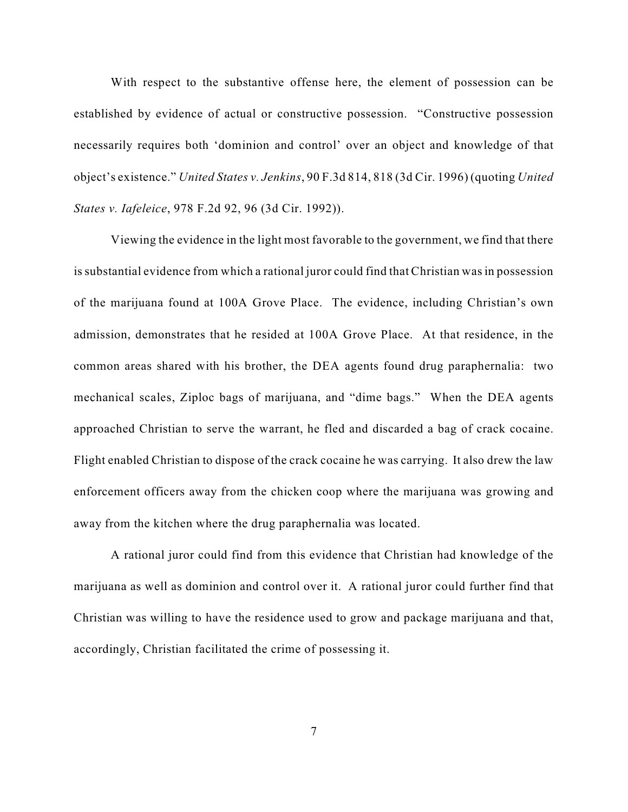With respect to the substantive offense here, the element of possession can be established by evidence of actual or constructive possession. "Constructive possession necessarily requires both 'dominion and control' over an object and knowledge of that object's existence." *United States v. Jenkins*, 90 F.3d 814, 818 (3d Cir. 1996) (quoting *United States v. Iafeleice*, 978 F.2d 92, 96 (3d Cir. 1992)).

Viewing the evidence in the light most favorable to the government, we find that there is substantial evidence from which a rational juror could find that Christian was in possession of the marijuana found at 100A Grove Place. The evidence, including Christian's own admission, demonstrates that he resided at 100A Grove Place. At that residence, in the common areas shared with his brother, the DEA agents found drug paraphernalia: two mechanical scales, Ziploc bags of marijuana, and "dime bags." When the DEA agents approached Christian to serve the warrant, he fled and discarded a bag of crack cocaine. Flight enabled Christian to dispose of the crack cocaine he was carrying. It also drew the law enforcement officers away from the chicken coop where the marijuana was growing and away from the kitchen where the drug paraphernalia was located.

A rational juror could find from this evidence that Christian had knowledge of the marijuana as well as dominion and control over it. A rational juror could further find that Christian was willing to have the residence used to grow and package marijuana and that, accordingly, Christian facilitated the crime of possessing it.